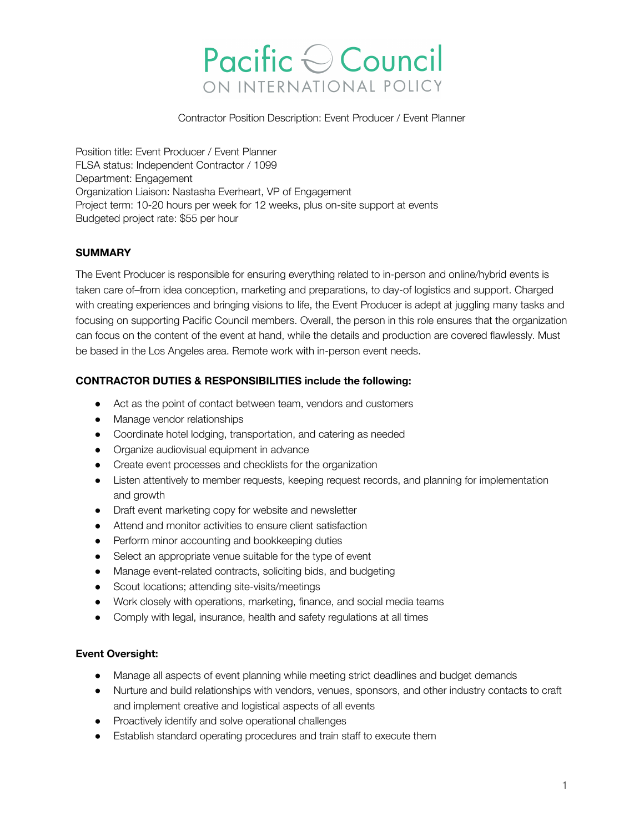# Pacific Council ON INTERNATIONAL POLICY

Contractor Position Description: Event Producer / Event Planner

Position title: Event Producer / Event Planner FLSA status: Independent Contractor / 1099 Department: Engagement Organization Liaison: Nastasha Everheart, VP of Engagement Project term: 10-20 hours per week for 12 weeks, plus on-site support at events Budgeted project rate: \$55 per hour

### **SUMMARY**

The Event Producer is responsible for ensuring everything related to in-person and online/hybrid events is taken care of–from idea conception, marketing and preparations, to day-of logistics and support. Charged with creating experiences and bringing visions to life, the Event Producer is adept at juggling many tasks and focusing on supporting Pacific Council members. Overall, the person in this role ensures that the organization can focus on the content of the event at hand, while the details and production are covered flawlessly. Must be based in the Los Angeles area. Remote work with in-person event needs.

## **CONTRACTOR DUTIES & RESPONSIBILITIES include the following:**

- Act as the point of contact between team, vendors and customers
- Manage vendor relationships
- Coordinate hotel lodging, transportation, and catering as needed
- Organize audiovisual equipment in advance
- Create event processes and checklists for the organization
- Listen attentively to member requests, keeping request records, and planning for implementation and growth
- Draft event marketing copy for website and newsletter
- Attend and monitor activities to ensure client satisfaction
- Perform minor accounting and bookkeeping duties
- Select an appropriate venue suitable for the type of event
- Manage event-related contracts, soliciting bids, and budgeting
- Scout locations; attending site-visits/meetings
- Work closely with operations, marketing, finance, and social media teams
- Comply with legal, insurance, health and safety regulations at all times

### **Event Oversight:**

- Manage all aspects of event planning while meeting strict deadlines and budget demands
- Nurture and build relationships with vendors, venues, sponsors, and other industry contacts to craft and implement creative and logistical aspects of all events
- Proactively identify and solve operational challenges
- Establish standard operating procedures and train staff to execute them